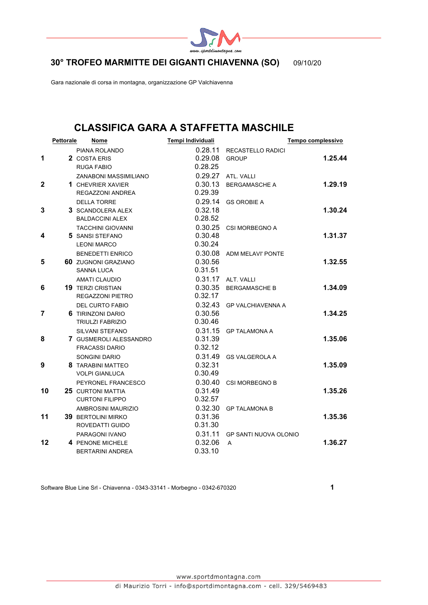

**30° TROFEO MARMITTE DEI GIGANTI CHIAVENNA (SO)** 09/10/20

Gara nazionale di corsa in montagna, organizzazione GP Valchiavenna

# **CLASSIFICA GARA A STAFFETTA MASCHILE**

|                | <b>Pettorale</b> | Nome                                               | Tempi Individuali  |                              | Tempo complessivo |
|----------------|------------------|----------------------------------------------------|--------------------|------------------------------|-------------------|
|                |                  | PIANA ROLANDO                                      | 0.28.11            | <b>RECASTELLO RADICI</b>     |                   |
| 1              |                  | 2 COSTA ERIS                                       | 0.29.08            | <b>GROUP</b>                 | 1.25.44           |
|                |                  | <b>RUGA FABIO</b>                                  | 0.28.25            |                              |                   |
|                |                  | ZANABONI MASSIMILIANO                              | 0.29.27            | ATL. VALLI                   |                   |
| $\mathbf{2}$   |                  | 1 CHEVRIER XAVIER                                  | 0.30.13            | <b>BERGAMASCHE A</b>         | 1.29.19           |
|                |                  | REGAZZONI ANDREA                                   | 0.29.39            |                              |                   |
| 3              |                  | <b>DELLA TORRE</b>                                 | 0.32.18            | 0.29.14 GS OROBIE A          | 1.30.24           |
|                |                  | 3 SCANDOLERA ALEX<br><b>BALDACCINI ALEX</b>        | 0.28.52            |                              |                   |
|                |                  | <b>TACCHINI GIOVANNI</b>                           |                    | 0.30.25 CSI MORBEGNO A       |                   |
| 4              |                  | 5 SANSI STEFANO                                    | 0.30.48            |                              | 1.31.37           |
|                |                  | <b>LEONI MARCO</b>                                 | 0.30.24            |                              |                   |
|                |                  | <b>BENEDETTI ENRICO</b>                            |                    | 0.30.08 ADM MELAVI' PONTE    |                   |
| 5              |                  | <b>60 ZUGNONI GRAZIANO</b>                         | 0.30.56            |                              | 1.32.55           |
|                |                  | <b>SANNA LUCA</b>                                  | 0.31.51            |                              |                   |
|                |                  | <b>AMATI CLAUDIO</b>                               |                    | 0.31.17 ALT. VALLI           |                   |
| 6              |                  | <b>19 TERZI CRISTIAN</b>                           |                    | 0.30.35 BERGAMASCHE B        | 1.34.09           |
|                |                  | <b>REGAZZONI PIETRO</b>                            | 0.32.17            |                              |                   |
|                |                  | <b>DEL CURTO FABIO</b>                             |                    | 0.32.43 GP VALCHIAVENNA A    |                   |
| $\overline{7}$ |                  | 6 TIRINZONI DARIO                                  | 0.30.56            |                              | 1.34.25           |
|                |                  | TRIULZI FABRIZIO                                   | 0.30.46            |                              |                   |
|                |                  | SILVANI STEFANO                                    | 0.31.15            | <b>GP TALAMONA A</b>         |                   |
| 8              |                  | 7 GUSMEROLI ALESSANDRO                             | 0.31.39            |                              | 1.35.06           |
|                |                  | <b>FRACASSI DARIO</b>                              | 0.32.12            |                              |                   |
|                |                  | SONGINI DARIO                                      | 0.31.49            | <b>GS VALGEROLA A</b>        |                   |
| 9              |                  | <b>8 TARABINI MATTEO</b>                           | 0.32.31            |                              | 1.35.09           |
|                |                  | <b>VOLPI GIANLUCA</b>                              | 0.30.49            |                              |                   |
| 10             |                  | PEYRONEL FRANCESCO                                 | 0.30.40            | <b>CSI MORBEGNO B</b>        | 1.35.26           |
|                |                  | <b>25 CURTONI MATTIA</b><br><b>CURTONI FILIPPO</b> | 0.31.49<br>0.32.57 |                              |                   |
|                |                  | AMBROSINI MAURIZIO                                 | 0.32.30            | <b>GP TALAMONA B</b>         |                   |
| 11             |                  | <b>39 BERTOLINI MIRKO</b>                          | 0.31.36            |                              | 1.35.36           |
|                |                  | ROVEDATTI GUIDO                                    | 0.31.30            |                              |                   |
|                |                  | PARAGONI IVANO                                     | 0.31.11            | <b>GP SANTI NUOVA OLONIO</b> |                   |
| 12             |                  | 4 PENONE MICHELE                                   | 0.32.06            | A                            | 1.36.27           |
|                |                  | <b>BERTARINI ANDREA</b>                            | 0.33.10            |                              |                   |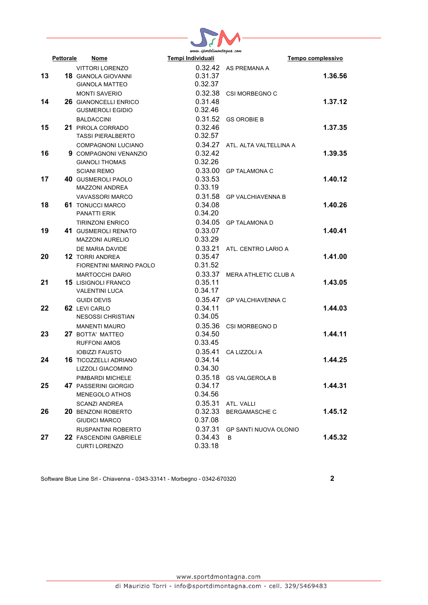

|    |           |                                                       | www.sportaimontagna.com |                              |                   |
|----|-----------|-------------------------------------------------------|-------------------------|------------------------------|-------------------|
|    | Pettorale | Nome                                                  | Tempi Individuali       |                              | Tempo complessivo |
|    |           | <b>VITTORI LORENZO</b>                                |                         | 0.32.42 AS PREMANA A         |                   |
| 13 |           | <b>18 GIANOLA GIOVANNI</b>                            | 0.31.37                 |                              | 1.36.56           |
|    |           | <b>GIANOLA MATTEO</b>                                 | 0.32.37                 |                              |                   |
|    |           | <b>MONTI SAVERIO</b>                                  | 0.32.38                 | <b>CSI MORBEGNO C</b>        |                   |
| 14 |           | <b>26 GIANONCELLI ENRICO</b>                          | 0.31.48                 |                              | 1.37.12           |
|    |           | <b>GUSMEROLI EGIDIO</b>                               | 0.32.46                 |                              |                   |
|    |           | <b>BALDACCINI</b>                                     |                         | 0.31.52 GS OROBIE B          |                   |
| 15 |           | <b>21 PIROLA CORRADO</b>                              | 0.32.46                 |                              | 1.37.35           |
|    |           | <b>TASSI PIERALBERTO</b>                              | 0.32.57                 |                              |                   |
|    |           | <b>COMPAGNONI LUCIANO</b>                             | 0.34.27                 | ATL, ALTA VALTELLINA A       |                   |
| 16 |           | 9 COMPAGNONI VENANZIO                                 | 0.32.42                 |                              | 1.39.35           |
|    |           | <b>GIANOLI THOMAS</b>                                 | 0.32.26                 |                              |                   |
|    |           | <b>SCIANI REMO</b>                                    | 0.33.00                 | <b>GP TALAMONA C</b>         |                   |
| 17 |           | <b>40 GUSMEROLI PAOLO</b>                             | 0.33.53                 |                              | 1.40.12           |
|    |           | MAZZONI ANDREA                                        | 0.33.19                 |                              |                   |
|    |           | <b>VAVASSORI MARCO</b>                                | 0.31.58                 | <b>GP VALCHIAVENNA B</b>     |                   |
| 18 |           | <b>61 TONUCCI MARCO</b>                               | 0.34.08                 |                              | 1.40.26           |
|    |           | PANATTI ERIK                                          | 0.34.20                 |                              |                   |
|    |           | <b>TIRINZONI ENRICO</b>                               | 0.34.05                 | <b>GP TALAMONA D</b>         |                   |
| 19 |           | 41 GUSMEROLI RENATO                                   | 0.33.07                 |                              | 1.40.41           |
|    |           | <b>MAZZONI AURELIO</b>                                | 0.33.29                 |                              |                   |
|    |           | DE MARIA DAVIDE                                       | 0.33.21                 | ATL. CENTRO LARIO A          |                   |
| 20 |           | <b>12 TORRI ANDREA</b>                                | 0.35.47                 |                              | 1.41.00           |
|    |           | <b>FIORENTINI MARINO PAOLO</b>                        | 0.31.52                 |                              |                   |
|    |           | <b>MARTOCCHI DARIO</b>                                | 0.33.37                 | MERA ATHLETIC CLUB A         |                   |
| 21 |           | <b>15 LISIGNOLI FRANCO</b>                            | 0.35.11                 |                              | 1.43.05           |
|    |           | <b>VALENTINI LUCA</b>                                 | 0.34.17                 |                              |                   |
|    |           | <b>GUIDI DEVIS</b>                                    | 0.35.47                 | <b>GP VALCHIAVENNA C</b>     |                   |
| 22 |           | 62 LEVI CARLO                                         | 0.34.11                 |                              | 1.44.03           |
|    |           | <b>NESOSSI CHRISTIAN</b>                              | 0.34.05                 |                              |                   |
|    |           | <b>MANENTI MAURO</b>                                  | 0.35.36                 | CSI MORBEGNO D               |                   |
| 23 |           | 27 BOTTA' MATTEO                                      | 0.34.50                 |                              | 1.44.11           |
|    |           | <b>RUFFONI AMOS</b>                                   | 0.33.45                 |                              |                   |
|    |           |                                                       | 0.35.41                 |                              |                   |
| 24 |           | <b>IOBIZZI FAUSTO</b><br><b>16 TICOZZELLI ADRIANO</b> | 0.34.14                 | CA LIZZOLI A                 | 1.44.25           |
|    |           | LIZZOLI GIACOMINO                                     | 0.34.30                 |                              |                   |
|    |           |                                                       |                         |                              |                   |
|    |           | PIMBARDI MICHELE                                      | 0.35.18                 | <b>GS VALGEROLA B</b>        |                   |
| 25 |           | 47 PASSERINI GIORGIO                                  | 0.34.17                 |                              | 1.44.31           |
|    |           | <b>MENEGOLO ATHOS</b>                                 | 0.34.56                 |                              |                   |
|    |           | <b>SCANZI ANDREA</b>                                  | 0.35.31                 | ATL. VALLI                   |                   |
| 26 |           | <b>20 BENZONI ROBERTO</b>                             | 0.32.33                 | <b>BERGAMASCHE C</b>         | 1.45.12           |
|    |           | <b>GIUDICI MARCO</b>                                  | 0.37.08                 |                              |                   |
|    |           | RUSPANTINI ROBERTO                                    | 0.37.31                 | <b>GP SANTI NUOVA OLONIO</b> |                   |
| 27 |           | 22 FASCENDINI GABRIELE                                | 0.34.43                 | B                            | 1.45.32           |
|    |           | <b>CURTI LORENZO</b>                                  | 0.33.18                 |                              |                   |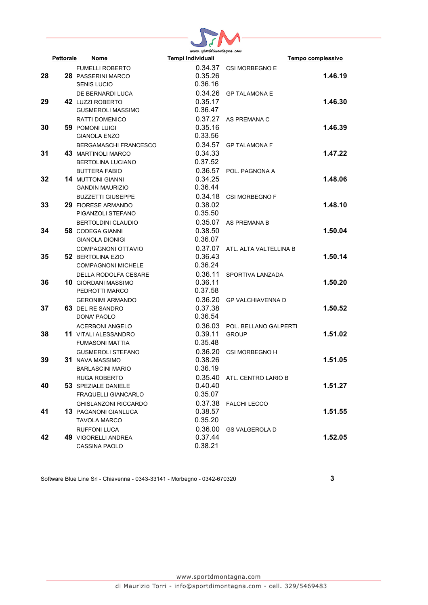

|    | <b>Pettorale</b> | Nome                         | www.sportaimontagna.com<br>Tempi Individuali |                               | Tempo complessivo |
|----|------------------|------------------------------|----------------------------------------------|-------------------------------|-------------------|
|    |                  |                              |                                              |                               |                   |
|    |                  | <b>FUMELLI ROBERTO</b>       |                                              | 0.34.37 CSI MORBEGNO E        |                   |
| 28 |                  | <b>28 PASSERINI MARCO</b>    | 0.35.26                                      |                               | 1.46.19           |
|    |                  | <b>SENIS LUCIO</b>           | 0.36.16                                      |                               |                   |
|    |                  | DE BERNARDI LUCA             | 0.34.26                                      | <b>GP TALAMONA E</b>          |                   |
| 29 |                  | 42 LUZZI ROBERTO             | 0.35.17                                      |                               | 1.46.30           |
|    |                  | <b>GUSMEROLI MASSIMO</b>     | 0.36.47                                      |                               |                   |
|    |                  | RATTI DOMENICO               | 0.37.27                                      | AS PREMANA C                  |                   |
| 30 |                  | <b>59 POMONI LUIGI</b>       | 0.35.16                                      |                               | 1.46.39           |
|    |                  | <b>GIANOLA ENZO</b>          | 0.33.56                                      |                               |                   |
|    |                  | <b>BERGAMASCHI FRANCESCO</b> | 0.34.57                                      | <b>GP TALAMONA F</b>          |                   |
| 31 |                  | <b>43 MARTINOLI MARCO</b>    | 0.34.33                                      |                               | 1.47.22           |
|    |                  | BERTOLINA LUCIANO            | 0.37.52                                      |                               |                   |
|    |                  | <b>BUTTERA FABIO</b>         |                                              | 0.36.57 POL. PAGNONA A        |                   |
| 32 |                  | <b>14 MUTTONI GIANNI</b>     | 0.34.25                                      |                               | 1.48.06           |
|    |                  | <b>GANDIN MAURIZIO</b>       | 0.36.44                                      |                               |                   |
|    |                  | <b>BUZZETTI GIUSEPPE</b>     | 0.34.18                                      | <b>CSI MORBEGNO F</b>         |                   |
| 33 |                  | <b>29 FIORESE ARMANDO</b>    | 0.38.02                                      |                               | 1.48.10           |
|    |                  | PIGANZOLI STEFANO            | 0.35.50                                      |                               |                   |
|    |                  | <b>BERTOLDINI CLAUDIO</b>    | 0.35.07                                      | AS PREMANA B                  |                   |
| 34 |                  | <b>58 CODEGA GIANNI</b>      | 0.38.50                                      |                               | 1.50.04           |
|    |                  | <b>GIANOLA DIONIGI</b>       | 0.36.07                                      |                               |                   |
|    |                  | COMPAGNONI OTTAVIO           | 0.37.07                                      | ATL. ALTA VALTELLINA B        |                   |
| 35 |                  | 52 BERTOLINA EZIO            | 0.36.43                                      |                               | 1.50.14           |
|    |                  | <b>COMPAGNONI MICHELE</b>    | 0.36.24                                      |                               |                   |
|    |                  | <b>DELLA RODOLFA CESARE</b>  | 0.36.11                                      | SPORTIVA LANZADA              |                   |
| 36 |                  | <b>10 GIORDANI MASSIMO</b>   | 0.36.11                                      |                               | 1.50.20           |
|    |                  | PEDROTTI MARCO               | 0.37.58                                      |                               |                   |
|    |                  | <b>GERONIMI ARMANDO</b>      | 0.36.20                                      | <b>GP VALCHIAVENNA D</b>      |                   |
| 37 |                  | <b>63 DEL RE SANDRO</b>      | 0.37.38                                      |                               | 1.50.52           |
|    |                  | DONA' PAOLO                  | 0.36.54                                      |                               |                   |
|    |                  | ACERBONI ANGELO              |                                              | 0.36.03 POL. BELLANO GALPERTI |                   |
| 38 |                  | <b>11 VITALI ALESSANDRO</b>  | 0.39.11                                      | <b>GROUP</b>                  | 1.51.02           |
|    |                  | <b>FUMASONI MATTIA</b>       | 0.35.48                                      |                               |                   |
|    |                  | <b>GUSMEROLI STEFANO</b>     | 0.36.20                                      | CSI MORBEGNO H                |                   |
| 39 |                  | <b>31 NAVA MASSIMO</b>       | 0.38.26                                      |                               | 1.51.05           |
|    |                  | <b>BARLASCINI MARIO</b>      | 0.36.19                                      |                               |                   |
|    |                  | <b>RUGA ROBERTO</b>          | 0.35.40                                      | ATL. CENTRO LARIO B           |                   |
| 40 |                  | 53 SPEZIALE DANIELE          | 0.40.40                                      |                               | 1.51.27           |
|    |                  | <b>FRAQUELLI GIANCARLO</b>   | 0.35.07                                      |                               |                   |
|    |                  | <b>GHISLANZONI RICCARDO</b>  | 0.37.38                                      | <b>FALCHI LECCO</b>           |                   |
| 41 |                  | 13 PAGANONI GIANLUCA         | 0.38.57                                      |                               | 1.51.55           |
|    |                  | <b>TAVOLA MARCO</b>          | 0.35.20                                      |                               |                   |
|    |                  | <b>RUFFONI LUCA</b>          | 0.36.00                                      | <b>GS VALGEROLA D</b>         |                   |
| 42 |                  | 49 VIGORELLI ANDREA          | 0.37.44                                      |                               | 1.52.05           |
|    |                  | <b>CASSINA PAOLO</b>         | 0.38.21                                      |                               |                   |
|    |                  |                              |                                              |                               |                   |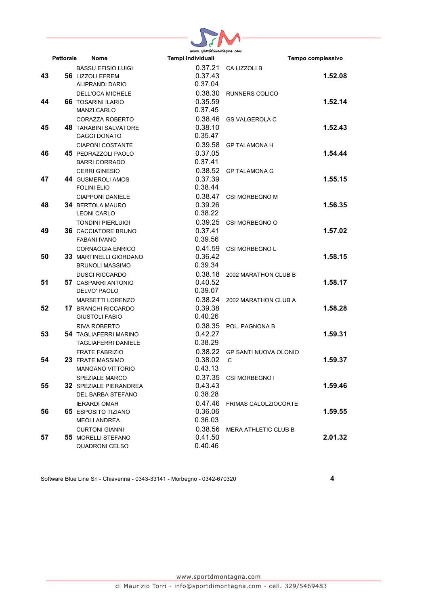

|    | Pettorale | Nome                                                                                          | www.sponnmomngmu.com<br>Tempi Individuali |                                    | Tempo complessivo |
|----|-----------|-----------------------------------------------------------------------------------------------|-------------------------------------------|------------------------------------|-------------------|
| 43 |           | <b>BASSU EFISIO LUIGI</b><br><b>56 LIZZOLI EFREM</b>                                          | 0.37.21<br>0.37.43<br>0.37.04             | CA LIZZOLI B                       | 1.52.08           |
| 44 |           | ALIPRANDI DARIO<br><b>DELL'OCA MICHELE</b><br><b>66 TOSARINI ILARIO</b><br><b>MANZI CARLO</b> | 0.35.59<br>0.37.45                        | 0.38.30 RUNNERS COLICO             | 1.52.14           |
| 45 |           | CORAZZA ROBERTO<br><b>48 TARABINI SALVATORE</b><br><b>GAGGI DONATO</b>                        | 0.38.10<br>0.35.47                        | 0.38.46 GS VALGEROLA C             | 1.52.43           |
| 46 |           | <b>CIAPONI COSTANTE</b><br>45 PEDRAZZOLI PAOLO<br><b>BARRI CORRADO</b>                        | 0.39.58<br>0.37.05<br>0.37.41             | <b>GP TALAMONA H</b>               | 1.54.44           |
| 47 |           | <b>CERRI GINESIO</b><br>44 GUSMEROLI AMOS<br><b>FOLINI ELIO</b>                               | 0.37.39<br>0.38.44                        | 0.38.52 GP TALAMONA G              | 1.55.15           |
| 48 |           | <b>CIAPPONI DANIELE</b><br><b>34 BERTOLA MAURO</b><br><b>LEONI CARLO</b>                      | 0.38.47<br>0.39.26<br>0.38.22             | <b>CSI MORBEGNO M</b>              | 1.56.35           |
| 49 |           | <b>TONDINI PIERLUIGI</b><br><b>36 CACCIATORE BRUNO</b><br><b>FABANI IVANO</b>                 | 0.37.41<br>0.39.56                        | 0.39.25 CSI MORBEGNO O             | 1.57.02           |
| 50 |           | <b>CORNAGGIA ENRICO</b><br><b>33 MARTINELLI GIORDANO</b><br><b>BRUNOLI MASSIMO</b>            | 0.41.59<br>0.36.42<br>0.39.34             | <b>CSI MORBEGNO L</b>              | 1.58.15           |
| 51 |           | <b>DUSCI RICCARDO</b><br><b>57 CASPARRI ANTONIO</b><br>DELVO' PAOLO                           | 0.40.52<br>0.39.07                        | 0.38.18 2002 MARATHON CLUB B       | 1.58.17           |
| 52 |           | MARSETTI LORENZO<br><b>17 BRANCHI RICCARDO</b><br><b>GIUSTOLI FABIO</b>                       | 0.38.24<br>0.39.38<br>0.40.26             | 2002 MARATHON CLUB A               | 1.58.28           |
| 53 |           | RIVA ROBERTO<br><b>54 TAGLIAFERRI MARINO</b><br>TAGLIAFERRI DANIELE                           | 0.42.27<br>0.38.29                        | 0.38.35 POL. PAGNONA B             | 1.59.31           |
| 54 |           | <b>FRATE FABRIZIO</b><br>23 FRATE MASSIMO<br><b>MANGANO VITTORIO</b>                          | 0.38.02<br>0.43.13                        | 0.38.22 GP SANTI NUOVA OLONIO<br>C | 1.59.37           |
| 55 |           | <b>SPEZIALE MARCO</b><br><b>32 SPEZIALE PIERANDREA</b><br>DEL BARBA STEFANO                   | 0.37.35<br>0.43.43<br>0.38.28             | CSI MORBEGNO I                     | 1.59.46           |
| 56 |           | <b>IERARDI OMAR</b><br><b>65 ESPOSITO TIZIANO</b><br><b>MEOLI ANDREA</b>                      | 0.47.46<br>0.36.06<br>0.36.03             | <b>FRIMAS CALOLZIOCORTE</b>        | 1.59.55           |
| 57 |           | <b>CURTONI GIANNI</b><br><b>55 MORELLI STEFANO</b><br><b>QUADRONI CELSO</b>                   | 0.38.56<br>0.41.50<br>0.40.46             | <b>MERA ATHLETIC CLUB B</b>        | 2.01.32           |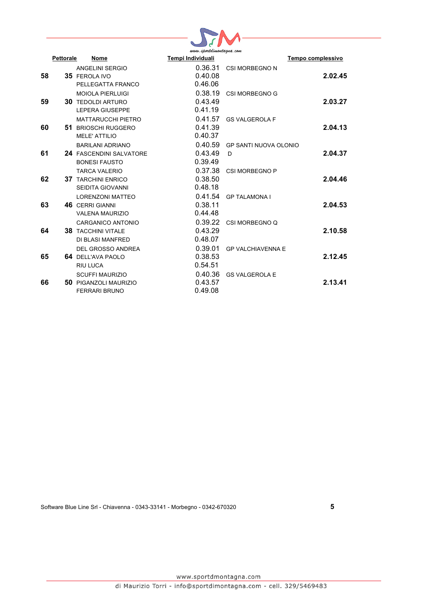

|    | www.sportaimontagna.com |                                |                   |                          |                   |  |
|----|-------------------------|--------------------------------|-------------------|--------------------------|-------------------|--|
|    | <b>Pettorale</b>        | Nome                           | Tempi Individuali |                          | Tempo complessivo |  |
|    |                         | ANGELINI SERGIO                | 0.36.31           | CSI MORBEGNO N           |                   |  |
| 58 |                         | <b>35 FEROLA IVO</b>           | 0.40.08           |                          | 2.02.45           |  |
|    |                         | PELLEGATTA FRANCO              | 0.46.06           |                          |                   |  |
|    |                         | <b>MOIOLA PIERLUIGI</b>        | 0.38.19           | <b>CSI MORBEGNO G</b>    |                   |  |
| 59 |                         | <b>30 TEDOLDI ARTURO</b>       | 0.43.49           |                          | 2.03.27           |  |
|    |                         | <b>LEPERA GIUSEPPE</b>         | 0.41.19           |                          |                   |  |
|    |                         | <b>MATTARUCCHI PIETRO</b>      | 0.41.57           | <b>GS VALGEROLA F</b>    |                   |  |
| 60 |                         | <b>51 BRIOSCHI RUGGERO</b>     | 0.41.39           |                          | 2.04.13           |  |
|    |                         | <b>MELE' ATTILIO</b>           | 0.40.37           |                          |                   |  |
|    |                         | <b>BARILANI ADRIANO</b>        | 0.40.59           | GP SANTI NUOVA OLONIO    |                   |  |
| 61 |                         | <b>24 FASCENDINI SALVATORE</b> | 0.43.49           | D                        | 2.04.37           |  |
|    |                         | <b>BONESI FAUSTO</b>           | 0.39.49           |                          |                   |  |
|    |                         | <b>TARCA VALERIO</b>           | 0.37.38           | CSI MORBEGNO P           |                   |  |
| 62 |                         | <b>37 TARCHINI ENRICO</b>      | 0.38.50           |                          | 2.04.46           |  |
|    |                         | <b>SEIDITA GIOVANNI</b>        | 0.48.18           |                          |                   |  |
|    |                         | <b>LORENZONI MATTEO</b>        | 0.41.54           | <b>GP TALAMONA I</b>     |                   |  |
| 63 |                         | <b>46 CERRI GIANNI</b>         | 0.38.11           |                          | 2.04.53           |  |
|    |                         | <b>VALENA MAURIZIO</b>         | 0.44.48           |                          |                   |  |
|    |                         | CARGANICO ANTONIO              | 0.39.22           | CSI MORBEGNO Q           |                   |  |
| 64 |                         | <b>38 TACCHINI VITALE</b>      | 0.43.29           |                          | 2.10.58           |  |
|    |                         | DI BLASI MANFRED               | 0.48.07           |                          |                   |  |
|    |                         | DEL GROSSO ANDREA              | 0.39.01           | <b>GP VALCHIAVENNA E</b> |                   |  |
| 65 |                         | 64 DELL'AVA PAOLO              | 0.38.53           |                          | 2.12.45           |  |
|    |                         | RIU LUCA                       | 0.54.51           |                          |                   |  |
|    |                         | <b>SCUFFI MAURIZIO</b>         | 0.40.36           | <b>GS VALGEROLA E</b>    |                   |  |
| 66 |                         | <b>50 PIGANZOLI MAURIZIO</b>   | 0.43.57           |                          | 2.13.41           |  |
|    |                         | <b>FERRARI BRUNO</b>           | 0.49.08           |                          |                   |  |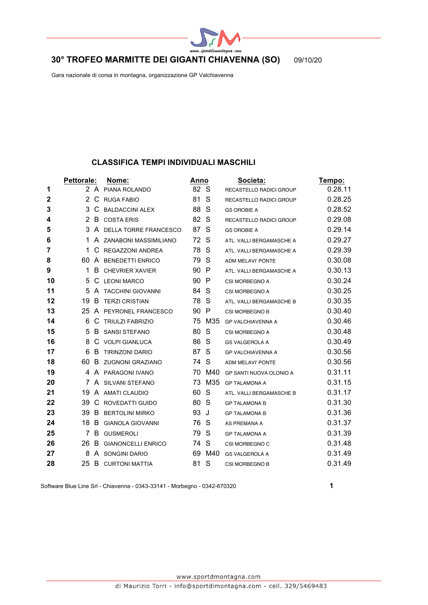

## **30° TROFEO MARMITTE DEI GIGANTI CHIAVENNA (SO)** 09/10/20

Gara nazionale di corsa in montagna, organizzazione GP Valchiavenna

#### **CLASSIFICA TEMPI INDIVIDUALI MASCHILI**

|             | Pettorale:            |              | Nome:                     | Anno |        | Societa:                       | <u>Tempo:</u> |
|-------------|-----------------------|--------------|---------------------------|------|--------|--------------------------------|---------------|
| 1           |                       |              | 2 A PIANA ROLANDO         | 82 S |        | RECASTELLO RADICI GROUP        | 0.28.11       |
| $\mathbf 2$ | $\mathbf{2}^{\prime}$ |              | C RUGA FABIO              | 81   | S      | RECASTELLO RADICI GROUP        | 0.28.25       |
| 3           | 3                     | C            | <b>BALDACCINI ALEX</b>    | 88   | S      | <b>GS OROBIE A</b>             | 0.28.52       |
| 4           |                       | 2 B          | <b>COSTA ERIS</b>         | 82   | S      | RECASTELLO RADICI GROUP        | 0.29.08       |
| 5           | 3                     | $\mathsf{A}$ | DELLA TORRE FRANCESCO     | 87   | S      | <b>GS OROBIE A</b>             | 0.29.14       |
| 6           | 1.                    |              | A ZANABONI MASSIMILIANO   | 72   | -S     | ATL. VALLI BERGAMASCHE A       | 0.29.27       |
| 7           | 1.                    | C            | REGAZZONI ANDREA          | 78   | S      | ATL. VALLI BERGAMASCHE A       | 0.29.39       |
| 8           |                       |              | 60 A BENEDETTI ENRICO     | 79   | S      | <b>ADM MELAVI' PONTE</b>       | 0.30.08       |
| 9           | 1                     | B            | <b>CHEVRIER XAVIER</b>    | 90   | P      | ATL. VALLI BERGAMASCHE A       | 0.30.13       |
| 10          | 5                     | C            | <b>LEONI MARCO</b>        | 90   | P      | CSI MORBEGNO A                 | 0.30.24       |
| 11          | 5                     |              | A TACCHINI GIOVANNI       | 84 S |        | CSI MORBEGNO A                 | 0.30.25       |
| 12          | 19                    | B            | <b>TERZI CRISTIAN</b>     | 78   | S      | ATL. VALLI BERGAMASCHE B       | 0.30.35       |
| 13          | 25                    |              | A PEYRONEL FRANCESCO      | 90   | P      | CSI MORBEGNO B                 | 0.30.40       |
| 14          | 6                     |              | C TRIULZI FABRIZIO        |      | 75 M35 | <b>GP VALCHIAVENNA A</b>       | 0.30.46       |
| 15          | 5                     | B            | <b>SANSI STEFANO</b>      | 80   | S      | CSI MORBEGNO A                 | 0.30.48       |
| 16          | 8                     |              | C VOLPI GIANLUCA          | 86   | S      | <b>GS VALGEROLA A</b>          | 0.30.49       |
| 17          | 6                     | B            | <b>TIRINZONI DARIO</b>    | 87   | S      | <b>GP VALCHIAVENNA A</b>       | 0.30.56       |
| 18          | 60                    | B            | <b>ZUGNONI GRAZIANO</b>   | 74 S |        | <b>ADM MELAVI' PONTE</b>       | 0.30.56       |
| 19          | 4                     |              | A PARAGONI IVANO          | 70   | M40    | <b>GP SANTI NUOVA OLONIO A</b> | 0.31.11       |
| 20          |                       |              | 7 A SILVANI STEFANO       | 73   | M35    | <b>GP TALAMONA A</b>           | 0.31.15       |
| 21          |                       |              | 19 A AMATI CLAUDIO        | 60   | S      | ATL. VALLI BERGAMASCHE B       | 0.31.17       |
| 22          | 39                    | C            | <b>ROVEDATTI GUIDO</b>    | 80   | S      | <b>GP TALAMONA B</b>           | 0.31.30       |
| 23          | 39                    | B            | <b>BERTOLINI MIRKO</b>    | 93   | J      | <b>GP TALAMONA B</b>           | 0.31.36       |
| 24          | 18                    | B            | <b>GIANOLA GIOVANNI</b>   | 76   | S      | AS PREMANA A                   | 0.31.37       |
| 25          | 7                     | B            | <b>GUSMEROLI</b>          | 79   | S      | <b>GP TALAMONA A</b>           | 0.31.39       |
| 26          | 26                    | B            | <b>GIANONCELLI ENRICO</b> | 74   | S      | CSI MORBEGNO C                 | 0.31.48       |
| 27          | 8                     |              | A SONGINI DARIO           | 69   | M40    | <b>GS VALGEROLA A</b>          | 0.31.49       |
| 28          |                       |              | 25 B CURTONI MATTIA       | 81   | S      | CSI MORBEGNO B                 | 0.31.49       |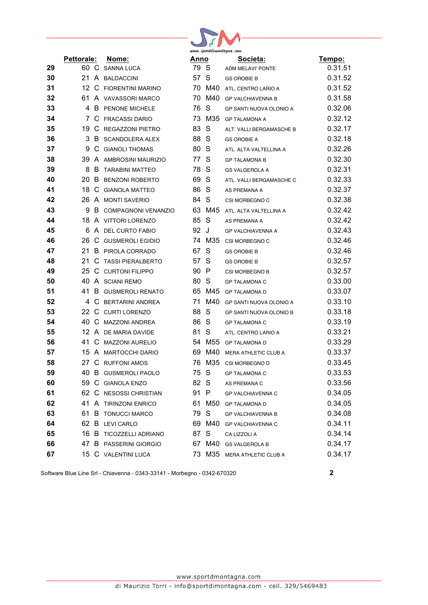|    | www.sportaimontagna.com |  |                           |      |        |                             |         |
|----|-------------------------|--|---------------------------|------|--------|-----------------------------|---------|
|    | Pettorale:              |  | Nome:                     | Anno |        | Societa:                    | Tempo:  |
| 29 |                         |  | 60 C SANNA LUCA           | 79 S |        | ADM MELAVI' PONTE           | 0.31.51 |
| 30 |                         |  | 21 A BALDACCINI           | 57   | S      | <b>GS OROBIE B</b>          | 0.31.52 |
| 31 |                         |  | 12 C FIORENTINI MARINO    |      | 70 M40 | ATL. CENTRO LARIO A         | 0.31.52 |
| 32 |                         |  | 61 A VAVASSORI MARCO      |      | 70 M40 | <b>GP VALCHIAVENNA B</b>    | 0.31.58 |
| 33 |                         |  | 4 B PENONE MICHELE        | 76   | S      | GP SANTI NUOVA OLONIO A     | 0.32.06 |
| 34 |                         |  | 7 C FRACASSI DARIO        |      | 73 M35 | <b>GP TALAMONA A</b>        | 0.32.12 |
| 35 |                         |  | 19 C REGAZZONI PIETRO     | 83   | S      | ALT. VALLI BERGAMASCHE B    | 0.32.17 |
| 36 | 3                       |  | <b>B</b> SCANDOLERA ALEX  | 88 S |        | <b>GS OROBIE A</b>          | 0.32.18 |
| 37 | 9                       |  | C GIANOLI THOMAS          | 80   | -S     | ATL. ALTA VALTELLINA A      | 0.32.26 |
| 38 |                         |  | 39 A AMBROSINI MAURIZIO   | 77 S |        | <b>GP TALAMONA B</b>        | 0.32.30 |
| 39 |                         |  | 8 B TARABINI MATTEO       | 78 S |        | <b>GS VALGEROLA A</b>       | 0.32.31 |
| 40 | 20                      |  | <b>B</b> BENZONI ROBERTO  | 69   | -S     | ATL. VALLI BERGAMASCHE C    | 0.32.33 |
| 41 |                         |  | 18 C GIANOLA MATTEO       | 86 S |        | AS PREMANA A                | 0.32.37 |
| 42 |                         |  | 26 A MONTI SAVERIO        | 84 S |        | CSI MORBEGNO C              | 0.32.38 |
| 43 | 9                       |  | B COMPAGNONI VENANZIO     |      | 63 M45 | ATL. ALTA VALTELLINA A      | 0.32.42 |
| 44 |                         |  | 18 A VITTORI LORENZO      | 85   | S      | AS PREMANA A                | 0.32.42 |
| 45 |                         |  | 6 A DEL CURTO FABIO       | 92 J |        | <b>GP VALCHIAVENNA A</b>    | 0.32.43 |
| 46 |                         |  | 26 C GUSMEROLI EGIDIO     |      | 74 M35 | CSI MORBEGNO C              | 0.32.46 |
| 47 |                         |  | 21 B PIROLA CORRADO       | 67   | S      | <b>GS OROBIE B</b>          | 0.32.46 |
| 48 | 21.                     |  | C TASSI PIERALBERTO       | 57   | S      | <b>GS OROBIE B</b>          | 0.32.57 |
| 49 |                         |  | 25 C CURTONI FILIPPO      | 90 P |        | CSI MORBEGNO B              | 0.32.57 |
| 50 |                         |  | 40 A SCIANI REMO          | 80 S |        | <b>GP TALAMONA C</b>        | 0.33.00 |
| 51 | 41                      |  | <b>B</b> GUSMEROLI RENATO |      | 65 M45 | <b>GP TALAMONA D</b>        | 0.33.07 |
| 52 |                         |  | 4 C BERTARINI ANDREA      |      | 71 M40 | GP SANTI NUOVA OLONIO A     | 0.33.10 |
| 53 |                         |  | 22 C CURTI LORENZO        | 88   | S      | GP SANTI NUOVA OLONIO B     | 0.33.18 |
| 54 |                         |  | 40 C MAZZONI ANDREA       | 86 S |        | <b>GP TALAMONA C</b>        | 0.33.19 |
| 55 |                         |  | 12 A DE MARIA DAVIDE      | 81   | S      | ATL. CENTRO LARIO A         | 0.33.21 |
| 56 |                         |  | 41 C MAZZONI AURELIO      |      | 54 M55 | <b>GP TALAMONA D</b>        | 0.33.29 |
| 57 |                         |  | 15 A MARTOCCHI DARIO      |      | 69 M40 | MERA ATHLETIC CLUB A        | 0.33.37 |
| 58 |                         |  | 27 C RUFFONI AMOS         |      | 76 M35 | CSI MORBEGNO D              | 0.33.45 |
| 59 |                         |  | 40 B GUSMEROLI PAOLO      |      |        | 75 S GP TALAMONA C          | 0.33.53 |
| 60 |                         |  | 59 C GIANOLA ENZO         | 82 S |        | AS PREMANA C                | 0.33.56 |
| 61 |                         |  | 62 C NESOSSI CHRISTIAN    | 91 P |        | <b>GP VALCHIAVENNA C</b>    | 0.34.05 |
| 62 |                         |  | 41 A TIRINZONI ENRICO     |      |        | 61 M50 GP TALAMONA D        | 0.34.05 |
| 63 |                         |  | 61 B TONUCCI MARCO        | 79 S |        | <b>GP VALCHIAVENNA B</b>    | 0.34.08 |
| 64 |                         |  | 62 B LEVI CARLO           |      |        | 69 M40 GP VALCHIAVENNA C    | 0.34.11 |
| 65 |                         |  | 16 B TICOZZELLI ADRIANO   | 87 S |        | CA LIZZOLI A                | 0.34.14 |
| 66 |                         |  | 47 B PASSERINI GIORGIO    |      |        | 67 M40 GS VALGEROLA B       | 0.34.17 |
| 67 |                         |  | 15 C VALENTINI LUCA       |      |        | 73 M35 MERA ATHLETIC CLUB A | 0.34.17 |
|    |                         |  |                           |      |        |                             |         |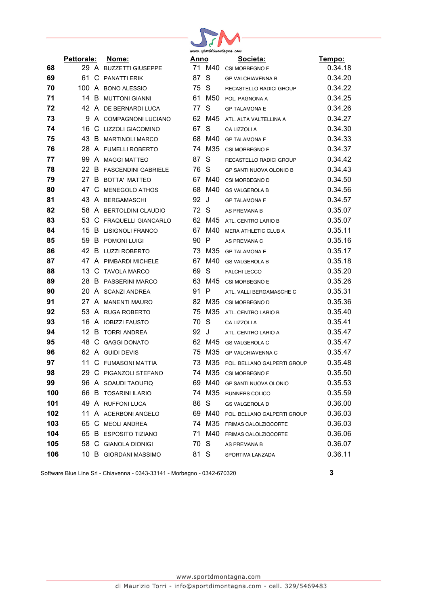| www.sportdimontagna.com |  |
|-------------------------|--|

|     | <b>Pettorale:</b> |    | Nome:                      | Anno |                 | Societa:                       | Tempo:  |
|-----|-------------------|----|----------------------------|------|-----------------|--------------------------------|---------|
| 68  |                   |    | 29 A BUZZETTI GIUSEPPE     |      | 71 M40          | CSI MORBEGNO F                 | 0.34.18 |
| 69  | 61.               |    | C PANATTI ERIK             | 87   | S               | <b>GP VALCHIAVENNA B</b>       | 0.34.20 |
| 70  |                   |    | 100 A BONO ALESSIO         | 75   | S               | RECASTELLO RADICI GROUP        | 0.34.22 |
| 71  | 14 B              |    | <b>MUTTONI GIANNI</b>      | 61   | M <sub>50</sub> | POL. PAGNONA A                 | 0.34.25 |
| 72  |                   |    | 42 A DE BERNARDI LUCA      | 77   | S               | <b>GP TALAMONA E</b>           | 0.34.26 |
| 73  | 9                 |    | A COMPAGNONI LUCIANO       | 62   | M45             | ATL. ALTA VALTELLINA A         | 0.34.27 |
| 74  | 16                |    | C LIZZOLI GIACOMINO        | 67   | S               | CA LIZZOLI A                   | 0.34.30 |
| 75  | 43                | B  | <b>MARTINOLI MARCO</b>     | 68   | M40             | <b>GP TALAMONA F</b>           | 0.34.33 |
| 76  | 28                |    | A FUMELLI ROBERTO          | 74   | M35             | CSI MORBEGNO E                 | 0.34.37 |
| 77  | 99                |    | A MAGGI MATTEO             | 87   | S               | RECASTELLO RADICI GROUP        | 0.34.42 |
| 78  | 22 B              |    | <b>FASCENDINI GABRIELE</b> | 76   | S               | <b>GP SANTI NUOVA OLONIO B</b> | 0.34.43 |
| 79  |                   |    | 27 B BOTTA' MATTEO         | 67   | M40             | CSI MORBEGNO D                 | 0.34.50 |
| 80  | 47                | C. | MENEGOLO ATHOS             | 68   | M40             | <b>GS VALGEROLA B</b>          | 0.34.56 |
| 81  | 43                |    | A BERGAMASCHI              | 92   | J               | <b>GP TALAMONA F</b>           | 0.34.57 |
| 82  | 58                |    | A BERTOLDINI CLAUDIO       | 72   | S               | AS PREMANA B                   | 0.35.07 |
| 83  | 53                |    | C FRAQUELLI GIANCARLO      |      | 62 M45          | ATL. CENTRO LARIO B            | 0.35.07 |
| 84  | 15                | B  | <b>LISIGNOLI FRANCO</b>    | 67   | M40             | MERA ATHLETIC CLUB A           | 0.35.11 |
| 85  | 59                | B. | POMONI LUIGI               | 90   | P               | AS PREMANA C                   | 0.35.16 |
| 86  |                   |    | 42 B LUZZI ROBERTO         | 73   | M35             | <b>GP TALAMONA E</b>           | 0.35.17 |
| 87  | 47                |    | A PIMBARDI MICHELE         | 67   | M40             | <b>GS VALGEROLA B</b>          | 0.35.18 |
| 88  | 13                | C. | <b>TAVOLA MARCO</b>        | 69   | S               | <b>FALCHI LECCO</b>            | 0.35.20 |
| 89  | 28.               |    | <b>B</b> PASSERINI MARCO   | 63   | M45             | CSI MORBEGNO E                 | 0.35.26 |
| 90  |                   |    | 20 A SCANZI ANDREA         | 91   | P               | ATL. VALLI BERGAMASCHE C       | 0.35.31 |
| 91  |                   |    | 27 A MANENTI MAURO         | 82   | M35             | CSI MORBEGNO D                 | 0.35.36 |
| 92  | 53                |    | A RUGA ROBERTO             | 75   | M35             | ATL. CENTRO LARIO B            | 0.35.40 |
| 93  |                   |    | 16 A IOBIZZI FAUSTO        | 70   | S               | CA LIZZOLI A                   | 0.35.41 |
| 94  | 12 B              |    | <b>TORRI ANDREA</b>        | 92   | J               | ATL. CENTRO LARIO A            | 0.35.47 |
| 95  | 48.               |    | C GAGGI DONATO             | 62   | M45             | <b>GS VALGEROLA C</b>          | 0.35.47 |
| 96  |                   |    | 62 A GUIDI DEVIS           | 75   | M35             | <b>GP VALCHIAVENNA C</b>       | 0.35.47 |
| 97  | 11                |    | C FUMASONI MATTIA          | 73   | M35             | POL. BELLANO GALPERTI GROUP    | 0.35.48 |
| 98  | 29                |    | C PIGANZOLI STEFANO        | 74   | M35             | CSI MORBEGNO F                 | 0.35.50 |
| 99  |                   |    | 96 A SOAUDI TAOUFIQ        |      |                 | 69 M40 GP SANTI NUOVA OLONIO   | 0.35.53 |
| 100 |                   |    | 66 B TOSARINI ILARIO       |      | 74 M35          | RUNNERS COLICO                 | 0.35.59 |
| 101 |                   |    | 49 A RUFFONI LUCA          | 86   | S               | <b>GS VALGEROLA D</b>          | 0.36.00 |
| 102 |                   |    | 11 A ACERBONI ANGELO       | 69   | M40             | POL. BELLANO GALPERTI GROUP    | 0.36.03 |
| 103 |                   |    | 65 C MEOLI ANDREA          |      | 74 M35          | FRIMAS CALOLZIOCORTE           | 0.36.03 |
| 104 |                   |    | 65 B ESPOSITO TIZIANO      |      | 71 M40          | <b>FRIMAS CALOLZIOCORTE</b>    | 0.36.06 |
| 105 |                   |    | 58 C GIANOLA DIONIGI       | 70   | S               | AS PREMANA B                   | 0.36.07 |
| 106 |                   |    | 10 B GIORDANI MASSIMO      | 81 S |                 | SPORTIVA LANZADA               | 0.36.11 |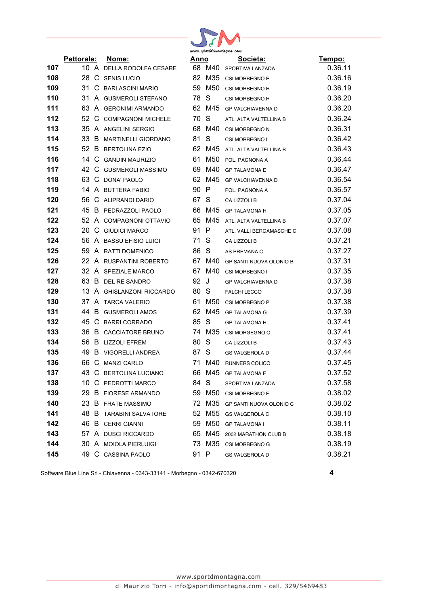

|     | Pettorale: | Nome:                          | Anno |        | Societa:                       | Tempo:  |
|-----|------------|--------------------------------|------|--------|--------------------------------|---------|
| 107 |            | 10 A DELLA RODOLFA CESARE      |      | 68 M40 | SPORTIVA LANZADA               | 0.36.11 |
| 108 |            | 28 C SENIS LUCIO               |      |        | 82 M35 CSI MORBEGNO E          | 0.36.16 |
| 109 |            | 31 C BARLASCINI MARIO          |      | 59 M50 | CSI MORBEGNO H                 | 0.36.19 |
| 110 |            | 31 A GUSMEROLI STEFANO         | 78 S |        | CSI MORBEGNO H                 | 0.36.20 |
| 111 |            | 63 A GERONIMI ARMANDO          |      | 62 M45 | GP VALCHIAVENNA D              | 0.36.20 |
| 112 |            | 52 C COMPAGNONI MICHELE        | 70 S |        | ATL. ALTA VALTELLINA B         | 0.36.24 |
| 113 |            | 35 A ANGELINI SERGIO           |      | 68 M40 | CSI MORBEGNO N                 | 0.36.31 |
| 114 |            | 33 B MARTINELLI GIORDANO       | 81   | S      | <b>CSI MORBEGNO L</b>          | 0.36.42 |
| 115 |            | 52 B BERTOLINA EZIO            |      | 62 M45 | ATL. ALTA VALTELLINA B         | 0.36.43 |
| 116 |            | 14 C GANDIN MAURIZIO           | 61   | M50    | POL. PAGNONA A                 | 0.36.44 |
| 117 |            | 42 C GUSMEROLI MASSIMO         |      | 69 M40 | <b>GP TALAMONA E</b>           | 0.36.47 |
| 118 |            | 63 C DONA' PAOLO               |      | 62 M45 | GP VALCHIAVENNA D              | 0.36.54 |
| 119 |            | 14 A BUTTERA FABIO             | 90 P |        | POL. PAGNONA A                 | 0.36.57 |
| 120 |            | 56 C ALIPRANDI DARIO           | 67 S |        | CA LIZZOLI B                   | 0.37.04 |
| 121 |            | 45 B PEDRAZZOLI PAOLO          |      | 66 M45 | <b>GP TALAMONA H</b>           | 0.37.05 |
| 122 |            | 52 A COMPAGNONI OTTAVIO        |      | 65 M45 | ATL. ALTA VALTELLINA B         | 0.37.07 |
| 123 |            | 20 C GIUDICI MARCO             | 91 P |        | ATL. VALLI BERGAMASCHE C       | 0.37.08 |
| 124 |            | 56 A BASSU EFISIO LUIGI        | 71 S |        | CA LIZZOLI B                   | 0.37.21 |
| 125 |            | 59 A RATTI DOMENICO            | 86 S |        | AS PREMANA C                   | 0.37.27 |
| 126 |            | 22 A RUSPANTINI ROBERTO        |      | 67 M40 | GP SANTI NUOVA OLONIO B        | 0.37.31 |
| 127 |            | 32 A SPEZIALE MARCO            |      | 67 M40 | CSI MORBEGNO I                 | 0.37.35 |
| 128 |            | 63 B DEL RE SANDRO             | 92 J |        | GP VALCHIAVENNA D              | 0.37.38 |
| 129 |            | 13 A GHISLANZONI RICCARDO      | 80 S |        | <b>FALCHI LECCO</b>            | 0.37.38 |
| 130 |            | 37 A TARCA VALERIO             |      | 61 M50 | CSI MORBEGNO P                 | 0.37.38 |
| 131 |            | 44 B GUSMEROLI AMOS            |      | 62 M45 | <b>GP TALAMONA G</b>           | 0.37.39 |
| 132 |            | 45 C BARRI CORRADO             | 85 S |        | <b>GP TALAMONA H</b>           | 0.37.41 |
| 133 |            | 36 B CACCIATORE BRUNO          |      | 74 M35 | CSI MORGEGNO O                 | 0.37.41 |
| 134 |            | 56 B LIZZOLI EFREM             | 80   | S      | CA LIZZOLI B                   | 0.37.43 |
| 135 |            | 49 B VIGORELLI ANDREA          | 87 S |        | <b>GS VALGEROLA D</b>          | 0.37.44 |
| 136 |            | 66 C MANZI CARLO               |      | 71 M40 | <b>RUNNERS COLICO</b>          | 0.37.45 |
| 137 |            | 43 C BERTOLINA LUCIANO         | 66   |        | M45 GP TALAMONA F              | 0.37.52 |
| 138 |            | 10 C PEDROTTI MARCO            | 84 S |        | SPORTIVA LANZADA               | 0.37.58 |
| 139 |            | 29 B FIORESE ARMANDO           |      |        | 59 M50 CSI MORBEGNO F          | 0.38.02 |
| 140 |            | 23 B FRATE MASSIMO             |      |        | 72 M35 GP SANTI NUOVA OLONIO C | 0.38.02 |
| 141 |            | <b>48 B TARABINI SALVATORE</b> |      | 52 M55 | <b>GS VALGEROLA C</b>          | 0.38.10 |
| 142 |            | 46 B CERRI GIANNI              |      | 59 M50 | <b>GP TALAMONA I</b>           | 0.38.11 |
| 143 |            | 57 A DUSCI RICCARDO            |      |        | 65 M45 2002 MARATHON CLUB B    | 0.38.18 |
| 144 |            | 30 A MOIOLA PIERLUIGI          |      |        | 73 M35 CSI MORBEGNO G          | 0.38.19 |
| 145 |            | 49 C CASSINA PAOLO             | 91 P |        | <b>GS VALGEROLA D</b>          | 0.38.21 |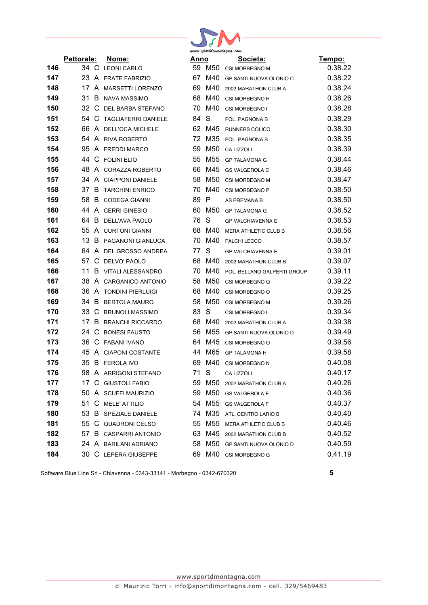

|     | Pettorale: | Nome:                      | Anno |        | Societa:                       | <u>Tempo:</u> |
|-----|------------|----------------------------|------|--------|--------------------------------|---------------|
| 146 |            | 34 C LEONI CARLO           |      | 59 M50 | CSI MORBEGNO M                 | 0.38.22       |
| 147 |            | 23 A FRATE FABRIZIO        |      | 67 M40 | GP SANTI NUOVA OLONIO C        | 0.38.22       |
| 148 |            | 17 A MARSETTI LORENZO      |      | 69 M40 | 2002 MARATHON CLUB A           | 0.38.24       |
| 149 | 31         | B NAVA MASSIMO             |      | 68 M40 | CSI MORBEGNO H                 | 0.38.26       |
| 150 |            | 32 C DEL BARBA STEFANO     | 70   | M40    | CSI MORBEGNO I                 | 0.38.28       |
| 151 |            | 54 C TAGLIAFERRI DANIELE   | 84   | S      | POL. PAGNONA B                 | 0.38.29       |
| 152 |            | 66 A DELL'OCA MICHELE      |      | 62 M45 | RUNNERS COLICO                 | 0.38.30       |
| 153 |            | 54 A RIVA ROBERTO          |      | 72 M35 | POL. PAGNONA B                 | 0.38.35       |
| 154 |            | 95 A FREDDI MARCO          | 59   | M50    | CA LIZZOLI                     | 0.38.39       |
| 155 | 44         | C FOLINI ELIO              |      | 55 M55 | <b>GP TALAMONA G</b>           | 0.38.44       |
| 156 |            | 48 A CORAZZA ROBERTO       |      | 66 M45 | <b>GS VALGEROLA C</b>          | 0.38.46       |
| 157 |            | 34 A CIAPPONI DANIELE      |      | 58 M50 | CSI MORBEGNO M                 | 0.38.47       |
| 158 |            | 37 B TARCHINI ENRICO       | 70   | M40    | CSI MORBEGNO P                 | 0.38.50       |
| 159 | 58         | <b>B</b> CODEGA GIANNI     | 89   | P      | AS PREMANA B                   | 0.38.50       |
| 160 |            | 44 A CERRI GINESIO         | 60   | M50    | <b>GP TALAMONA G</b>           | 0.38.52       |
| 161 |            | 64 B DELL'AVA PAOLO        | 76   | S      | <b>GP VALCHIAVENNA E</b>       | 0.38.53       |
| 162 |            | 55 A CURTONI GIANNI        |      | 68 M40 | <b>MERA ATHLETIC CLUB B</b>    | 0.38.56       |
| 163 |            | 13 B PAGANONI GIANLUCA     |      | 70 M40 | <b>FALCHI LECCO</b>            | 0.38.57       |
| 164 | 64         | A DEL GROSSO ANDREA        | 77   | S      | <b>GP VALCHIAVENNA E</b>       | 0.39.01       |
| 165 |            | 57 C DELVO' PAOLO          |      | 68 M40 | 2002 MARATHON CLUB B           | 0.39.07       |
| 166 | 11         | <b>B</b> VITALI ALESSANDRO | 70   | M40    | POL. BELLANO GALPERTI GROUP    | 0.39.11       |
| 167 |            | 38 A CARGANICO ANTONIO     |      | 58 M50 | CSI MORBEGNO Q                 | 0.39.22       |
| 168 |            | 36 A TONDINI PIERLUIGI     | 68   | M40    | CSI MORBEGNO O                 | 0.39.25       |
| 169 | 34         | <b>B</b> BERTOLA MAURO     | 58   | M50    | CSI MORBEGNO M                 | 0.39.26       |
| 170 | 33         | C BRUNOLI MASSIMO          | 83   | S      | CSI MORBEGNO L                 | 0.39.34       |
| 171 |            | 17 B BRANCHI RICCARDO      | 68   | M40    | 2002 MARATHON CLUB A           | 0.39.38       |
| 172 | 24         | C BONESI FAUSTO            |      | 56 M55 | <b>GP SANTI NUOVA OLONIO D</b> | 0.39.49       |
| 173 |            | 36 C FABANI IVANO          |      | 64 M45 | CSI MORBEGNO O                 | 0.39.56       |
| 174 |            | 45 A CIAPONI COSTANTE      |      | 44 M65 | <b>GP TALAMONA H</b>           | 0.39.58       |
| 175 |            | 35 B FEROLA IVO            | 69   | M40    | CSI MORBEGNO N                 | 0.40.08       |
| 176 |            | 98 A ARRIGONI STEFANO      | 71 S |        | CA LIZZOLI                     | 0.40.17       |
| 177 |            | 17 C GIUSTOLI FABIO        |      | 59 M50 | 2002 MARATHON CLUB A           | 0.40.26       |
| 178 |            | 50 A SCUFFI MAURIZIO       |      | 59 M50 | <b>GS VALGEROLA E</b>          | 0.40.36       |
| 179 |            | 51 C MELE' ATTILIO         |      | 54 M55 | <b>GS VALGEROLA F</b>          | 0.40.37       |
| 180 |            | 53 B SPEZIALE DANIELE      |      | 74 M35 | ATL. CENTRO LARIO B            | 0.40.40       |
| 181 |            | 55 C QUADRONI CELSO        |      | 55 M55 | MERA ATHLETIC CLUB B           | 0.40.46       |
| 182 |            | 57 B CASPARRI ANTONIO      |      | 63 M45 | 2002 MARATHON CLUB B           | 0.40.52       |
| 183 |            | 24 A BARILANI ADRIANO      |      | 58 M50 | <b>GP SANTI NUOVA OLONIO D</b> | 0.40.59       |
| 184 |            | 30 C LEPERA GIUSEPPE       |      | 69 M40 | CSI MORBEGNO G                 | 0.41.19       |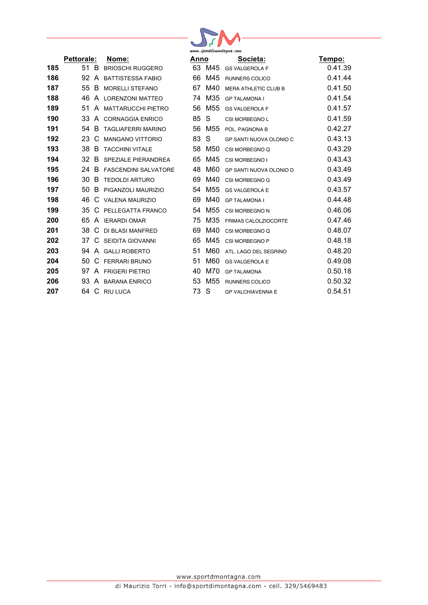

|     | <b>Pettorale:</b> |    | Nome:                       |  |
|-----|-------------------|----|-----------------------------|--|
| 185 | 51                | B. | <b>BRIOSCHI RUGGERO</b>     |  |
| 186 | 92 A              |    | <b>BATTISTESSA FABIO</b>    |  |
| 187 | 55                | В. | <b>MORELLI STEFANO</b>      |  |
| 188 | 46                | A  | LORENZONI MATTEO            |  |
| 189 | 51                | A  | <b>MATTARUCCHI PIETRO</b>   |  |
| 190 | 33.               | A  | <b>CORNAGGIA ENRICO</b>     |  |
| 191 | 54                | B. | <b>TAGLIAFERRI MARINO</b>   |  |
| 192 | 23                | C  | <b>MANGANO VITTORIO</b>     |  |
| 193 | 38                | B  | <b>TACCHINI VITALE</b>      |  |
| 194 | 32                | В  | SPEZIALE PIERANDREA         |  |
| 195 | 24                | В  | <b>FASCENDINI SALVATORE</b> |  |
| 196 | 30                | B. | <b>TEDOLDI ARTURO</b>       |  |
| 197 | 50                | В  | PIGANZOLI MAURIZIO          |  |
| 198 | 46                |    | C VALENA MAURIZIO           |  |
| 199 | 35                | C  | PELLEGATTA FRANCO           |  |
| 200 | 65.               | A  | <b>IERARDI OMAR</b>         |  |
| 201 | 38                | C  | DI BLASI MANFRED            |  |
| 202 | 37                | C  | SEIDITA GIOVANNI            |  |
| 203 | 94                | A  | <b>GALLI ROBERTO</b>        |  |
| 204 | 50                | C  | <b>FERRARI BRUNO</b>        |  |
| 205 | 97                | A  | <b>FRIGERI PIETRO</b>       |  |
| 206 | 93.               | A  | <b>BARANA ENRICO</b>        |  |
| 207 | 64                | C  | RIU LUCA                    |  |
|     |                   |    |                             |  |

| www.sportdimontagna.com |     |                                |         |  |  |
|-------------------------|-----|--------------------------------|---------|--|--|
| Anno                    |     | Societa:                       | Tempo:  |  |  |
| 63                      | M45 | <b>GS VALGEROLA F</b>          | 0.41.39 |  |  |
| 66                      | M45 | <b>RUNNERS COLICO</b>          | 0.41.44 |  |  |
| 67                      | M40 | <b>MERA ATHLETIC CLUB B</b>    | 0.41.50 |  |  |
| 74                      | M35 | <b>GP TALAMONA I</b>           | 0.41.54 |  |  |
| 56                      | M55 | <b>GS VALGEROLA F</b>          | 0.41.57 |  |  |
| 85                      | S   | <b>CSI MORBEGNO L</b>          | 0.41.59 |  |  |
| 56                      | M55 | POL. PAGNONA B                 | 0.42.27 |  |  |
| 83                      | S   | <b>GP SANTI NUOVA OLONIO C</b> | 0.43.13 |  |  |
| 58                      | M50 | CSI MORBEGNO Q                 | 0.43.29 |  |  |
| 65                      | M45 | <b>CSI MORBEGNO I</b>          | 0.43.43 |  |  |
| 48                      | M60 | GP SANTI NUOVA OLONIO D        | 0.43.49 |  |  |
| 69                      | M40 | CSI MORBEGNO G                 | 0.43.49 |  |  |
| 54                      | M55 | <b>GS VALGEROLA E</b>          | 0.43.57 |  |  |
| 69                      | M40 | <b>GP TALAMONA I</b>           | 0.44.48 |  |  |
| 54                      | M55 | <b>CSI MORBEGNO N</b>          | 0.46.06 |  |  |
| 75                      | M35 | <b>FRIMAS CALOLZIOCORTE</b>    | 0.47.46 |  |  |
| 69                      | M40 | CSI MORBEGNO Q                 | 0.48.07 |  |  |
| 65                      | M45 | <b>CSI MORBEGNO P</b>          | 0.48.18 |  |  |
| 51                      | M60 | ATL. LAGO DEL SEGRINO          | 0.48.20 |  |  |
| 51                      | M60 | <b>GS VALGEROLA E</b>          | 0.49.08 |  |  |
| 40                      | M70 | <b>GP TALAMONA</b>             | 0.50.18 |  |  |
| 53                      | M55 | <b>RUNNERS COLICO</b>          | 0.50.32 |  |  |
| 73                      | S   | <b>GP VALCHIAVENNA E</b>       | 0.54.51 |  |  |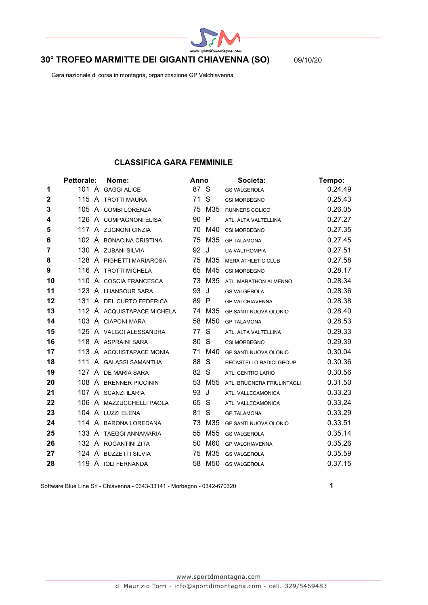

# **30° TROFEO MARMITTE DEI GIGANTI CHIAVENNA (SO)** 09/10/20

Gara nazionale di corsa in montagna, organizzazione GP Valchiavenna

## **CLASSIFICA GARA FEMMINILE**

|             | Pettorale: | Nome:                      | <b>Anno</b> |                 | Societa:                     | Tempo:  |
|-------------|------------|----------------------------|-------------|-----------------|------------------------------|---------|
| 1           |            | 101 A GAGGI ALICE          | 87 S        |                 | <b>GS VALGEROLA</b>          | 0.24.49 |
| $\mathbf 2$ | 115        | A TROTTI MAURA             | 71          | S               | CSI MORBEGNO                 | 0.25.43 |
| 3           |            | 105 A COMBI LORENZA        |             | 75 M35          | <b>RUNNERS COLICO</b>        | 0.26.05 |
| 4           |            | 126 A COMPAGNONI ELISA     | 90 P        |                 | ATL. ALTA VALTELLINA         | 0.27.27 |
| 5           |            | 117 A ZUGNONI CINZIA       | 70          | M40             | CSI MORBEGNO                 | 0.27.35 |
| 6           |            | 102 A BONACINA CRISTINA    | 75          | M35             | <b>GP TALAMONA</b>           | 0.27.45 |
| 7           |            | 130 A ZUBANI SILVIA        | 92          | J               | <b>UA VALTROMPIA</b>         | 0.27.51 |
| 8           |            | 128 A PIGHETTI MARIAROSA   |             | 75 M35          | <b>MERA ATHLETIC CLUB</b>    | 0.27.58 |
| 9           |            | 116 A TROTTI MICHELA       | 65          | M45             | CSI MORBEGNO                 | 0.28.17 |
| 10          | 110        | A COSCIA FRANCESCA         |             | 73 M35          | ATL. MARATHON ALMENNO        | 0.28.34 |
| 11          |            | 123 A LHANSOUR SARA        | 93          | J               | <b>GS VALGEROLA</b>          | 0.28.36 |
| 12          | 131        | A DEL CURTO FEDERICA       | 89 P        |                 | <b>GP VALCHIAVENNA</b>       | 0.28.38 |
| 13          |            | 112 A ACQUISTAPACE MICHELA |             | 74 M35          | <b>GP SANTI NUOVA OLONIO</b> | 0.28.40 |
| 14          |            | 103 A CIAPONI MARA         |             | 58 M50          | <b>GP TALAMONA</b>           | 0.28.53 |
| 15          |            | 125 A VALGOI ALESSANDRA    | 77          | S               | ATL. ALTA VALTELLINA         | 0.29.33 |
| 16          |            | 118 A ASPRAINI SARA        | 80          | -S              | CSI MORBEGNO                 | 0.29.39 |
| 17          |            | 113 A ACQUISTAPACE MONIA   | 71          | M40             | <b>GP SANTI NUOVA OLONIO</b> | 0.30.04 |
| 18          |            | 111 A GALASSI SAMANTHA     | 88          | S               | RECASTELLO RADICI GROUP      | 0.30.36 |
| 19          | 127        | A DE MARIA SARA            | 82          | S               | ATL. CENTRO LARIO            | 0.30.56 |
| 20          |            | 108 A BRENNER PICCININ     |             | 53 M55          | ATL. BRUGNERA FRIULINTAGLI   | 0.31.50 |
| 21          |            | 107 A SCANZI ILARIA        | 93          | J               | ATL. VALLECAMONICA           | 0.33.23 |
| 22          | 106        | A MAZZUCCHELLI PAOLA       | 65          | S               | ATL. VALLECAMONICA           | 0.33.24 |
| 23          |            | 104 A LUZZI ELENA          | 81          | S               | <b>GP TALAMONA</b>           | 0.33.29 |
| 24          |            | 114 A BARONA LOREDANA      | 73          | M35             | GP SANTI NUOVA OLONIO        | 0.33.51 |
| 25          |            | 133 A TAEGGI ANNAMARIA     | 55          | M <sub>55</sub> | <b>GS VALGEROLA</b>          | 0.35.14 |
| 26          |            | 132 A ROGANTINI ZITA       | 50          | M60             | <b>GP VALCHIAVENNA</b>       | 0.35.26 |
| 27          |            | 124 A BUZZETTI SILVIA      | 75          | M35             | <b>GS VALGEROLA</b>          | 0.35.59 |
| 28          |            | 119 A IOLI FERNANDA        |             | 58 M50          | <b>GS VALGEROLA</b>          | 0.37.15 |